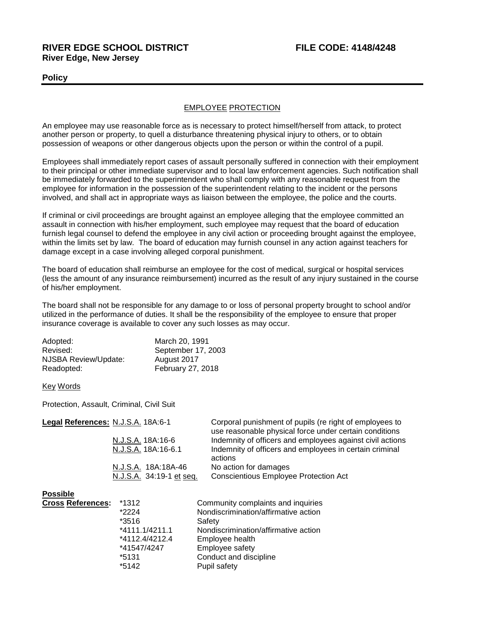## **RIVER EDGE SCHOOL DISTRICT FILE CODE: 4148/4248 River Edge, New Jersey**

## **Policy**

## EMPLOYEE PROTECTION

An employee may use reasonable force as is necessary to protect himself/herself from attack, to protect another person or property, to quell a disturbance threatening physical injury to others, or to obtain possession of weapons or other dangerous objects upon the person or within the control of a pupil.

Employees shall immediately report cases of assault personally suffered in connection with their employment to their principal or other immediate supervisor and to local law enforcement agencies. Such notification shall be immediately forwarded to the superintendent who shall comply with any reasonable request from the employee for information in the possession of the superintendent relating to the incident or the persons involved, and shall act in appropriate ways as liaison between the employee, the police and the courts.

If criminal or civil proceedings are brought against an employee alleging that the employee committed an assault in connection with his/her employment, such employee may request that the board of education furnish legal counsel to defend the employee in any civil action or proceeding brought against the employee, within the limits set by law. The board of education may furnish counsel in any action against teachers for damage except in a case involving alleged corporal punishment.

The board of education shall reimburse an employee for the cost of medical, surgical or hospital services (less the amount of any insurance reimbursement) incurred as the result of any injury sustained in the course of his/her employment.

The board shall not be responsible for any damage to or loss of personal property brought to school and/or utilized in the performance of duties. It shall be the responsibility of the employee to ensure that proper insurance coverage is available to cover any such losses as may occur.

| Adopted:             | March 20, 1991     |
|----------------------|--------------------|
| Revised:             | September 17, 2003 |
| NJSBA Review/Update: | August 2017        |
| Readopted:           | February 27, 2018  |

Key Words

Protection, Assault, Criminal, Civil Suit

| Legal References: N.J.S.A. 18A:6-1 |                          | Corporal punishment of pupils (re right of employees to<br>use reasonable physical force under certain conditions |
|------------------------------------|--------------------------|-------------------------------------------------------------------------------------------------------------------|
|                                    | N.J.S.A. 18A:16-6        | Indemnity of officers and employees against civil actions                                                         |
|                                    | N.J.S.A. 18A:16-6.1      | Indemnity of officers and employees in certain criminal<br>actions                                                |
|                                    | N.J.S.A. 18A:18A-46      | No action for damages                                                                                             |
|                                    | N.J.S.A. 34:19-1 et seq. | <b>Conscientious Employee Protection Act</b>                                                                      |
| <b>Possible</b>                    |                          |                                                                                                                   |
| <b>Cross References:</b>           | *1312                    | Community complaints and inquiries                                                                                |
|                                    | *2224                    | Nondiscrimination/affirmative action                                                                              |
|                                    | *3516                    | Safety                                                                                                            |
|                                    | *4111.1/4211.1           | Nondiscrimination/affirmative action                                                                              |
|                                    | *4112.4/4212.4           | Employee health                                                                                                   |
|                                    | *41547/4247              | Employee safety                                                                                                   |
|                                    | *5131                    | Conduct and discipline                                                                                            |

\*5142 Pupil safety